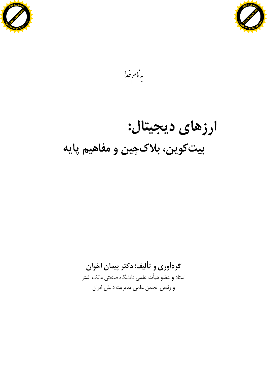



بەنام خدا

# ارزهای دیجیتال: بیتکوین، بلاکچین و مفاهیم پایه

# گردآوری و تألیف: دکتر پیمان اخوان

استاد و عضو هیأت علمی دانشگاه صنعتی مالک اشتر و رئيس انجمن علمي مديريت دانش ايران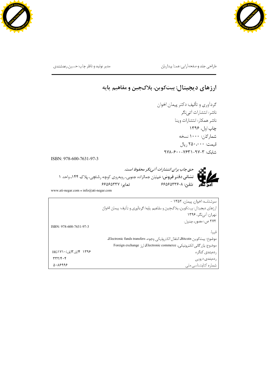



طراحی جلد و صفحهآرایی: همتا بیداریان مسلم مسلم اسلام مدیر تولید و ناظر چاپ: حسین رعدشندی

#### ارزهای دیجیتال: بیتکوین، بلاکچین و مفاهیم پایه :

گردآوري و تأليف: دكتر پيمان اخوان ناشر: انتشارات آتینگر ناشر همكار: انتشارات وينا چاپ اول، ۱۳۹۶ شمارگان: ۱۰۰۰ نسخه قيمت: ٢۵٠,٠٠٠ ريال شابک: ۳-۹۷–۷۶۳۱–۶۰۰–۹۷۸

ISBN: 978-600-7631-97-3



[www.ati-negar.com](http://www.ati-negar.com/) \* [info@ati-negar.com](mailto:info@ati-negar.com)

سرشناسه: اخوان، پیمان، ۱۳۵۲ -ارزهاي ديجيتال: بيتكوين، بلاكچين و مفاهيم پايه/ گردآوري و تأليف: پيمان اخوان تهران: آتینگر، ۱۳۹۶ ٢٧٢ ص.: مصور، جدول. ISBN: 978-600-7631-97-3 فيپا. . موضوع: بيتكوين Bitcoin، انتقال الكترونيكي وجوه، Electronic funds transfers، موضوع: بازرگانی الكترونيكي، Electronic commerce، ارز Foreign exchange ۱۳۹۶ ۴ الف ۱۳الف/۱۷۱۰ HG ردەبندى كنگرە  $TTY/F.F$ ردەبندى ديويى  $0.19999$ شماره كتابشناسى ملى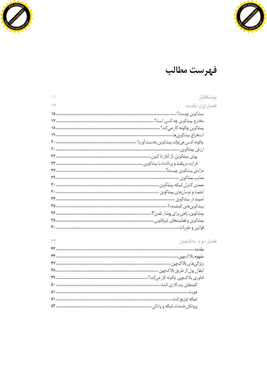



# فهرست مطالب

| $\setminus$    | ييشگفتار         |
|----------------|------------------|
| $\wedge \vee'$ | فصىل أول: مقدمه  |
|                |                  |
|                |                  |
|                |                  |
|                |                  |
|                |                  |
|                |                  |
|                |                  |
|                |                  |
|                |                  |
|                |                  |
|                |                  |
|                |                  |
|                |                  |
|                |                  |
|                |                  |
|                |                  |
|                |                  |
|                |                  |
| Y'             | فصل دوم: بلاکچين |
|                |                  |
|                |                  |
|                |                  |
|                |                  |
|                |                  |
|                |                  |
|                |                  |
|                |                  |
|                |                  |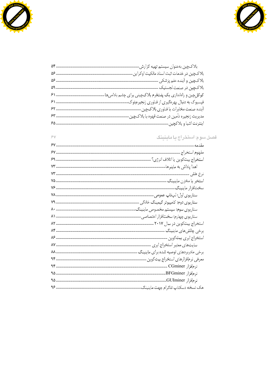



| $\hat{y}$<br>قصبل سوم: استخراج یا ماینینگ |  |
|-------------------------------------------|--|
|                                           |  |
|                                           |  |
|                                           |  |
|                                           |  |
|                                           |  |
|                                           |  |
|                                           |  |
|                                           |  |
|                                           |  |
|                                           |  |
|                                           |  |
|                                           |  |
|                                           |  |
|                                           |  |
|                                           |  |
|                                           |  |
|                                           |  |
|                                           |  |
|                                           |  |
|                                           |  |
|                                           |  |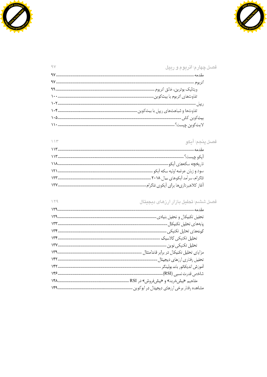



 $\wedge \vee^{\omega}$ 

 $149$ 

#### فصل چهارم: اتریوم و ری<mark>پ</mark>ل  $\gamma$

### فصل پنجم: آيكو

#### فصل ششم: تحليل بازار ارزهاى ديجيتال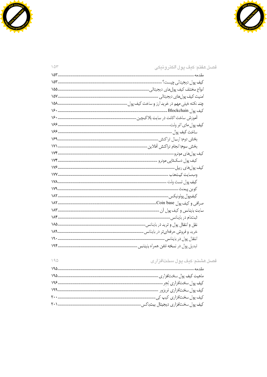



| 10 <sup>4</sup> | فصل هفتم: كيف پول الكترونيكى                                                     |
|-----------------|----------------------------------------------------------------------------------|
|                 |                                                                                  |
|                 |                                                                                  |
|                 |                                                                                  |
|                 |                                                                                  |
|                 |                                                                                  |
|                 | كيف يول Blockchain . المستنسسين المستنسسين المستنسسين المستنسسين المستنسسين ١٦٠٠ |
|                 |                                                                                  |
|                 |                                                                                  |
|                 |                                                                                  |
|                 |                                                                                  |
|                 |                                                                                  |
|                 |                                                                                  |
|                 |                                                                                  |
|                 |                                                                                  |
|                 |                                                                                  |
|                 |                                                                                  |
|                 |                                                                                  |
|                 |                                                                                  |
|                 |                                                                                  |
|                 |                                                                                  |
|                 |                                                                                  |
|                 |                                                                                  |
|                 |                                                                                  |
|                 |                                                                                  |
|                 |                                                                                  |

## <mark>فصل هشتم: کیف پول سختافزاری</mark>

 $190$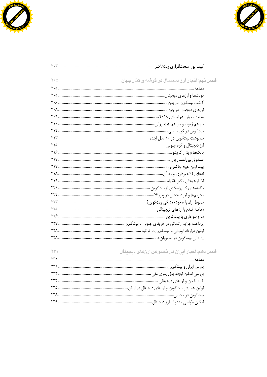



| $\mathbb{Y}\ast\mathbb{Q}$ | فصل نهم: اخبار ارز دیجیتال در گوشه و کنار جهان |
|----------------------------|------------------------------------------------|
|                            |                                                |
|                            |                                                |
|                            |                                                |
|                            |                                                |
|                            |                                                |
|                            |                                                |
|                            |                                                |
|                            |                                                |
|                            |                                                |
|                            |                                                |
|                            |                                                |
|                            |                                                |
|                            |                                                |
|                            |                                                |
|                            |                                                |
|                            |                                                |
|                            |                                                |
|                            |                                                |
|                            |                                                |
|                            |                                                |
|                            |                                                |
|                            |                                                |
|                            |                                                |
| YY                         | فصل دهم: اخبار ایران در خصوص ارزهای دیجیتال    |

| ن موجود تحصیر این از این موجود است از از بعدی محصصات |
|------------------------------------------------------|
|                                                      |
|                                                      |
|                                                      |
|                                                      |
|                                                      |
|                                                      |
|                                                      |
|                                                      |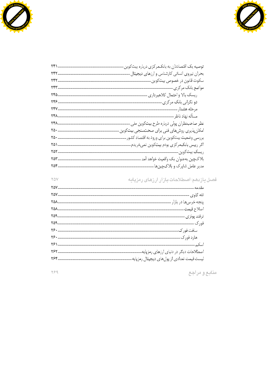



| توصیه یک اقتصاددان به بانکـمرکزی درباره بیتکوین. |
|--------------------------------------------------|
|                                                  |
|                                                  |
|                                                  |
|                                                  |
|                                                  |
|                                                  |
|                                                  |
|                                                  |
| امکانپذیری روشهای فنی برای صحتسنجی بیتکوین       |
| بررسی وضعیت بیتکوین برای ورود به اقتصاد کشور.    |
|                                                  |
|                                                  |
| بلاكىچين بەعنوان يك واقعيت خواهد آمد .           |
|                                                  |

## فصل يازدهم: اصطلاحات بازار ارزهای رمزپايه

منابع و مراجع

 $Y99$ 

YOV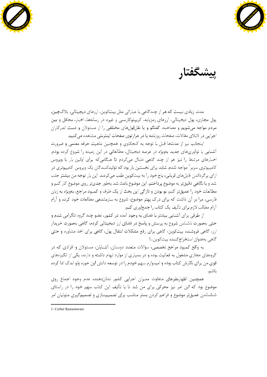

Click to buy Now! **<sup>P</sup>DF-XChang<sup>e</sup> <sup>h</sup>ttp://www.guthcad.co<sup>m</sup>**

ييشگفتار

مدت زیادی نیست که هر از چندگاهی با عباراتی مثل بیتکوین، ارزهای دیجیتالی، بلاکچین، پول مجازی، پول دیجیتالی، ارزهای رمزپایه، کریپتوکارنسی و غیره در رسانهها، اخبار، محافل و بین مردم مواجه می شویم و مصاحبه، گفتگو و یا نقلقولهای مختلفی را از مسئولان و دست اندرکاران اجرایی در لابلای مقالات، صفحات روزنامه یا در هزارتوی صفحات اینترنتی مشاهده می کنیم.

اینجانب نیز از مدتها قبل با توجه به کنجکاوی و همچنین ماهیت حرفه معلمی و ضرورت آشنایی با نوآوریهای جدید بهویژه در عرصه دیجیتال، مطالعاتی در این زمینه را شروع کرده بودم. اخبارهای مرتبط را نیز هر از چند گاهی دنبال میکردم تا هنگامی که برای اولین بار با ویروس <sup>۱</sup> مواجه شدم. ، ازای بر گرداندن فایل های قربانی، باج خود را به بیتکوین طلب می کردند. این بار توجه من بیشتر جلب شد و با نگاهی دقیقتر به موضوع پرداختم. این موضوع باعث شد بهطور جدیتر روی موضوع کار کنم و مطالعات خود را عمیقتر کنم. نو بودن و تازگی این بحث از یک طرف و کمبود مراجع، بهویژه به زبان فارسی، مرا بر آن داشت که برای درک بهتر موضوع، شروع به سازماندهی مطالعات خود کرده و آرام آرام مطالب لازم برای تألیف یک کتاب را جمعآوری کنم. .

از طرفی برای آشنایی بیشتر با فضای به وجود آمده در کشور، عضو چند گروه تلگرامی شدم و حتی بهصورت ناشناس شروع به پرسش و پاسخ در فضای ارز دیجیتالی کردم، گاهی بهصورت خریدار ارز، گاهی فروشنده بیتکوین، گاهی برای رفع مشکلات انتقال پول، گاهی برای اخذ مشاوره و حتی گاهي بهعنوان استخراج كننده بيت كوين...!

به واقع کمبود مراجع تخصصی، سؤالات متعدد دوستان، آشنایان، مسئولان و افرادی که در گروههای مجازی مشغول به فعالیت بوده و در بسیاری از موارد ابهام داشته و دارند، یکی از انگیزههای قوی من برای نگارش کتاب بوده و امیدوارم سهم خودم را در توسعه دانش این حوزه ولو اندک ادا کرده باشم.

همچنین اظهارنظرهای متفاوت مدیران اجرایی کشور نشاندهنده عدم وجود اجماع روی موضوع بود که این امر نیز محرکی برای من شد تا با تألیف این کتاب سهم خود را در راستای شناساندن عمیق،تر موضوع و فراهم کردن بستر مناسب برای تصمیمسازی و تصمیمگیری متولیان امر

<sup>1-</sup> Cerber Ransomware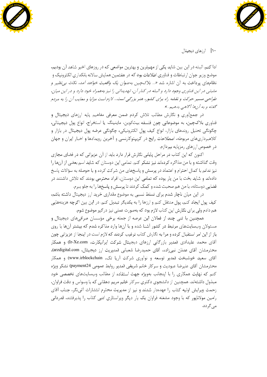



۱۰| ارزها*ی* دیجیتال

ادا کنم. البته در این بین شاید یکی از مهمترین و بهترین مواضعی که در روزهای اخیر شاهد آن بودیم، موضع وزیر جوان ارتباطات و فناوری اطلاعات بود که در هفتمین همایش سالانه بانکداری الکترونیک و نظامهای پرداخت به آن اشاره شد *«... بلاکچین بهعنوان یک واقعیت خواهد آمد، نکات ب<sub>ی</sub> نظیر و* مثبتي در اين فناوري وجود دارد و البته در كنار آن، تهديداتي را نيز به همراه خود دارد و در اين ميان، طراحی مسیر حرکت و نقشه راه برای کشور، هنر بزرگی است... لازم است مزایا و معایب آن را به مردم گفته و به آن *ها آگاهي بدهيم...».* 

در جمعآوری و نگارش مطالب تلاش کردم ضمن معرفی مفاهیم پایه ارزهای دیجیتال و فناوري بلاکچين، به موضوعاتي چون فلسفه بيتکوين، ماينينگ يا استخراج، انواع پول ديجيتالي، چگونگی تحلیل روندهای بازار، انواع کیف پول الکترونیکی، چگونگی عرضه پول دیجیتال در بازار و كلاهبرداريهاي مربوطه، اصطلاحات رايج در كريپتوكارنسي و آخرين رويدادها و اخبار ايران و جهان در خصوص ارزهای رمزپایه بپردازم. .

اکنون که این کتاب در مراحل پایانی نگارش قرار دارد باید از آن عزیزانی که در فضای مجازی وقت گذاشته و با من مذاکره کردهاند نیز تشکر کنم. تمامی این دوستان که شاید اسم بعضی از آنها را نیز ندانم با کمال احترام و اعتماد در پرسش و پاسخهای من شرکت کرده و با حوصله به سؤالات پاسخ دادهاند و شاید بخت با من یار بوده که تمامی این دوستان، افراد محترمی بودند که تلاش داشتند در فضایی دوستانه، با من هم صحبت شده و کمک کردند تا پرسش و پاسخها را به جلو ببرم.

در این میان ناچار شدم برای تسلط نسبی به موضوع مقداری خرید ارز دیجیتال داشته باشم، کیف پول ایجاد کنم، پول منتقل کنم و ارزها را به یکدیگر تبدیل کنم. در این بین اگرچه هزینههایی هم دادم ولی برای نگارش این کتاب لازم بود که بهصورت عملی نیز درگیر موضوع شوم. .

همچنین با تنی چند از فعالان این عرصه از جمله برخی مؤسسان صرافیهای دیجیتال و مسئولان وبسایتهای مرتبط در کشور آشنا شده و با آنها وارد مذاکره شدم که بیشتر آنها با روی باز از این امر استقبال کرده و مرا به نگارش کتاب ترغیب کردند که لازم است در اینجا از عزیزانی چون آقای محمد علیدادی (مدیر بازرگانی ارزهای دیجیتال شرکت ایرانیکارت، Ir-Xe.com) و همکار محترمشان آقای عدنان نبی;اده، آقای حمیدرضا شعبانی (مدیریت ارز دیجیتال، arzdigital.com)، آقای سعید خوشبخت (مدیر توسعه و نوآوری شرکت آریا تک، www.irblockchain) و همکار محترمشان آقای علیرضا عبودیت و سرکار خانم شریفی (مدیر روابط عمومی payment24) تشکر ویژه کنم که نهایت همکاری را با اینجانب بهویژه جهت استفاده از مطالب وبسایتهای تخصصی خود مبذول داشتهاند. همچنین از دانشجوی دکتری سرکار خانم مریم دهقانی که با وسواس و دقت فراوان، زحمت ويرايش اوليه كتاب را عهدهدار شدند و نيز از مديريت محترم انتشارات آتىنكر، جناب آقاى رامین مولانایور که با وجود مشغله فراوان یک بار دیگر ویراستاری ادبی کتاب را پذیرفتند، قدردانی مے گردد. .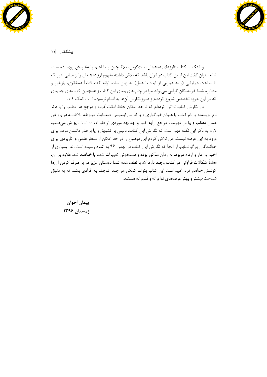



ييشگفتار |١١

و اینک … کتاب «ارزهای دیجیتال، بیتکوین، بلاکچین و مفاهیم پایه» پیش روی شماست. شاید بتوان گفت این اولین کتاب در ایران باشد که تلاش داشته مفهوم ارز دیجیتال را از مبانی تئوریک تا مباحث عملیاتی (و به عبارتی از ایده تا عمل) به زبان ساده ارائه کند. قطعاً همفکری، بازخور و مشاوره شما خوانندگان گرامی میتواند مرا در چاپهای بعدی این کتاب و همچنین کتابهای جدیدی که در این حوزه تخصصی شروع کردهام و هنوز نگارش آنها به اتمام نرسیده است کمک کند.

د, نگا,ش کتاب تلاش کردهام که تا حد امکان حفظ امانت کرده و مرجع هر مطلب را با ذکر نام نویسنده یا نام کتاب یا عنوان خبرگزاری و یا آدرس اینترنتی وبسایت مربوطه، بلافاصله در پاورقی همان مطلب و يا در فهرست مراجع ارايه كنم و چنانچه موردي از قلم افتاده است، پوزش مىطلبم. لازم به ذکر این نکته مهم است که نگارش این کتاب، دلیلی بر تشویق و یا برحذر داشتن مردم برای ورود به این عرصه نیست. من تلاش کردم این موضوع را در حد امکان از منظر علمی و کاربردی برای خوانندگان بازگو نمایم. از آنجا که نگارش این کتاب در بهمن ۹۶ به اتمام رسیده است، لذا بسیاری از اخبار و آمار و ارقام مربوط به زمان مذکور بوده و دستخوش تغییرات شده یا خواهند شد. علاوه بر آن، قطعاً اشکالات فراوانی در کتاب وجود دارد که با لطف همه شما دوستان عزیز در بر طرف کردن آنها کوشش خواهم کرد. امید است این کتاب بتواند کمکی هر چند کوچک به افرادی باشد که به دنبال شناخت بیشتر و بهتر عرصههای نوآورانه و فناورانه هستند.

پيمان اخوان زمستان ۱۳۹۶